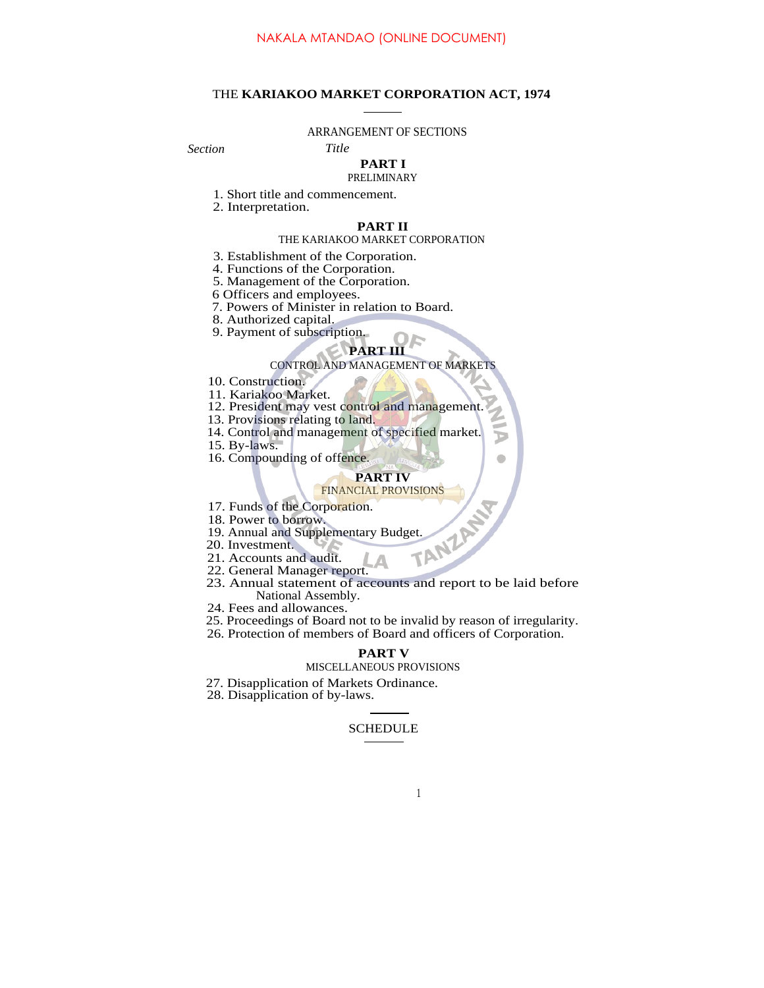## THE **KARIAKOO MARKET CORPORATION ACT, 1974**

#### ARRANGEMENT OF SECTIONS

*Section Title*

# **PART I**

# PRELIMINARY

- 1. Short title and commencement.
- 2. Interpretation.

## **PART II**

#### THE KARIAKOO MARKET CORPORATION

- 3. Establishment of the Corporation.
- 4. Functions of the Corporation.
- 5. Management of the Corporation.
- 6 Officers and employees.
- 7. Powers of Minister in relation to Board.
- 8. Authorized capital.
- 9. Payment of subscription.

### **PART III**

#### CONTROL AND MANAGEMENT OF MARKETS

- 10. Construction.
- 11. Kariakoo Market.
- 12. President may vest control and management.
- 13. Provisions relating to land.
- 14. Control and management of specified market.
- 15. By-laws.
- 16. Compounding of offence.

#### **PART IV** FINANCIAL PROVISIONS

- 17. Funds of the Corporation.
- 18. Power to borrow.
- 19. Annual and Supplementary Budget.<br>
20. Investment.<br>
21. Accounts and audit<br>
22. General Manual Control of Supplementary Budget.
- 20. Investment.
- 21. Accounts and audit.
- 22. General Manager report.
- 23. Annual statement of accounts and report to be laid before National Assembly.
- 24. Fees and allowances.
- 25. Proceedings of Board not to be invalid by reason of irregularity.
- 26. Protection of members of Board and officers of Corporation.

## **PART V**

## MISCELLANEOUS PROVISIONS

- 27. Disapplication of Markets Ordinance.
- 28. Disapplication of by-laws.

## SCHEDULE

#### 1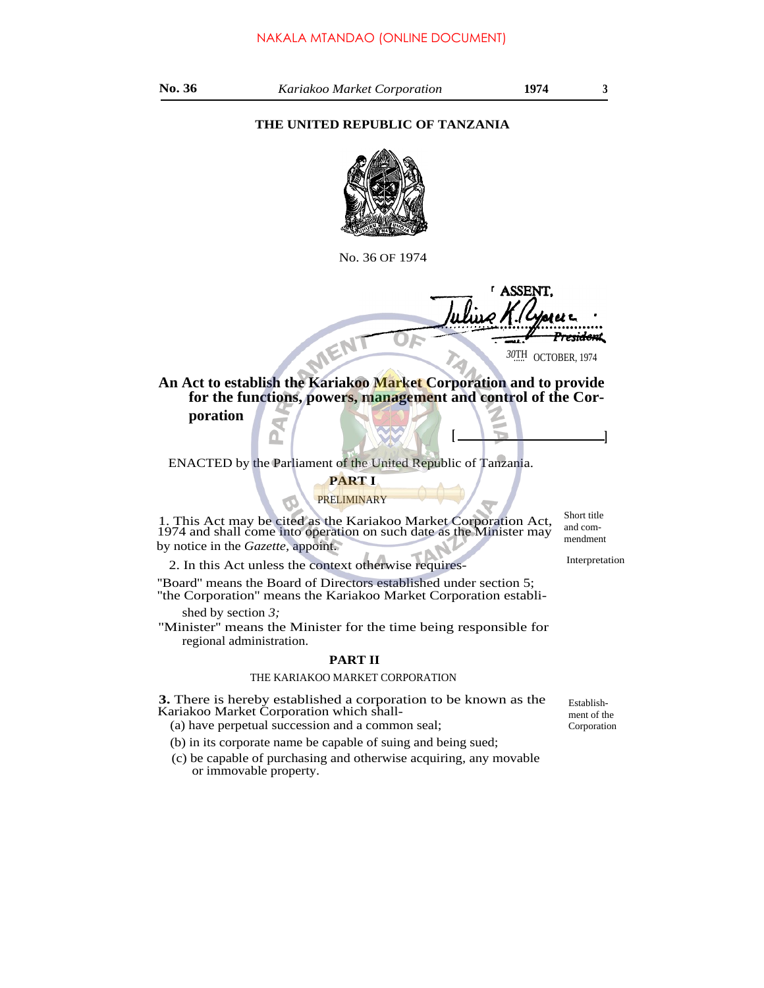## **THE UNITED REPUBLIC OF TANZANIA**



No. 36 OF 1974

ASSE **An Act to establish the Kariakoo Market Corporation and to provide** e<del>sidon</del>t 30TH OCTOBER, 1974

**for the functions, powers, management and control of the Corporation**

ENACTED by the Parliament of the United Republic of Tanzania.

# **PART I**

## PRELIMINARY

1. This Act may be cited as the Kariakoo Market Corporation Act, 1974 and shall come into operation on such date as the Minister may by notice in the *Gazette,* appoint.

2. In this Act unless the context otherwise requires- Interpretation

''Board'' means the Board of Directors established under section 5; ''the Corporation'' means the Kariakoo Market Corporation establi-

shed by section *3;*

''Minister'' means the Minister for the time being responsible for regional administration.

## **PART II**

## THE KARIAKOO MARKET CORPORATION

**3.** There is hereby established a corporation to be known as the Kariakoo Market Corporation which shall- (a) have perpetual succession and a common seal;

(b) in its corporate name be capable of suing and being sued;

(c) be capable of purchasing and otherwise acquiring, any movable or immovable property.

Short title and commendment

**[ ]**

Establishment of the Corporation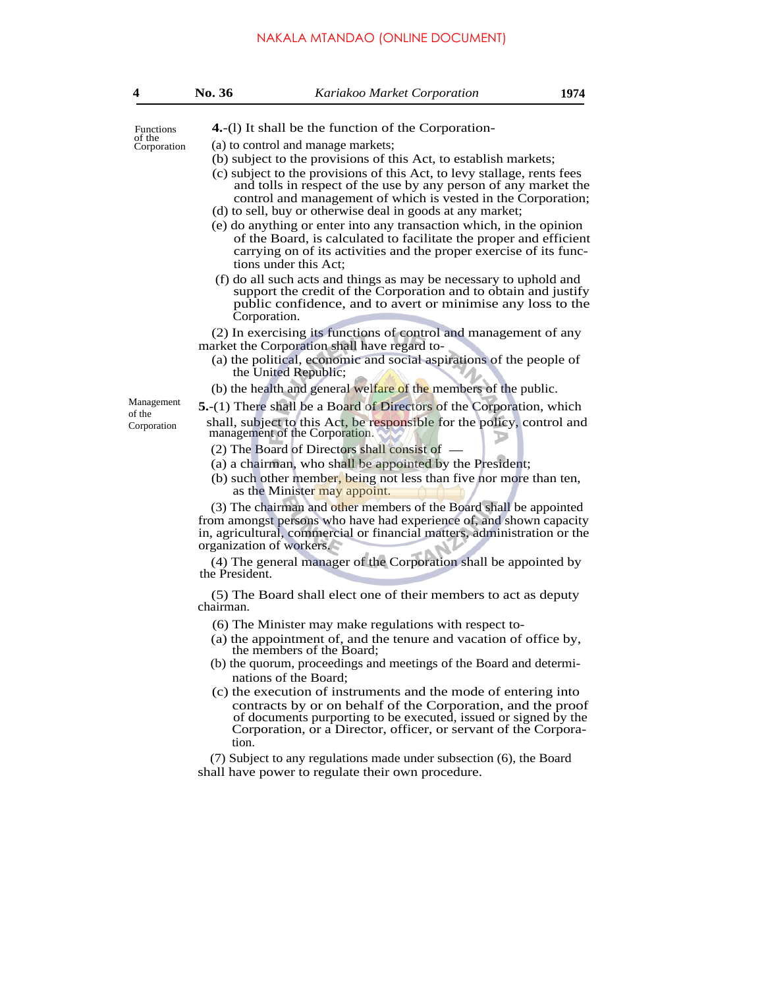## NAKALA MTANDAO (ONLINE DOCUMENT)

| 4                     | No. 36                                                                                                                                                                                                                                                                                                                                                                                                                                                                                                                | Kariakoo Market Corporation                                                                                                                                                                                                                                                                 | 1974 |  |  |
|-----------------------|-----------------------------------------------------------------------------------------------------------------------------------------------------------------------------------------------------------------------------------------------------------------------------------------------------------------------------------------------------------------------------------------------------------------------------------------------------------------------------------------------------------------------|---------------------------------------------------------------------------------------------------------------------------------------------------------------------------------------------------------------------------------------------------------------------------------------------|------|--|--|
| <b>Functions</b>      | 4.-(1) It shall be the function of the Corporation-                                                                                                                                                                                                                                                                                                                                                                                                                                                                   |                                                                                                                                                                                                                                                                                             |      |  |  |
| of the<br>Corporation | (a) to control and manage markets;<br>(b) subject to the provisions of this Act, to establish markets;                                                                                                                                                                                                                                                                                                                                                                                                                |                                                                                                                                                                                                                                                                                             |      |  |  |
|                       | (c) subject to the provisions of this Act, to levy stallage, rents fees<br>and tolls in respect of the use by any person of any market the<br>control and management of which is vested in the Corporation;<br>(d) to sell, buy or otherwise deal in goods at any market;<br>(e) do anything or enter into any transaction which, in the opinion<br>of the Board, is calculated to facilitate the proper and efficient<br>carrying on of its activities and the proper exercise of its func-<br>tions under this Act: |                                                                                                                                                                                                                                                                                             |      |  |  |
|                       | Corporation.                                                                                                                                                                                                                                                                                                                                                                                                                                                                                                          | (f) do all such acts and things as may be necessary to uphold and<br>support the credit of the Corporation and to obtain and justify<br>public confidence, and to avert or minimise any loss to the                                                                                         |      |  |  |
|                       | (2) In exercising its functions of control and management of any<br>market the Corporation shall have regard to-<br>(a) the political, economic and social aspirations of the people of<br>the United Republic;                                                                                                                                                                                                                                                                                                       |                                                                                                                                                                                                                                                                                             |      |  |  |
|                       |                                                                                                                                                                                                                                                                                                                                                                                                                                                                                                                       | (b) the health and general welfare of the members of the public.                                                                                                                                                                                                                            |      |  |  |
| Management            |                                                                                                                                                                                                                                                                                                                                                                                                                                                                                                                       | <b>5.</b> -(1) There shall be a Board of Directors of the Corporation, which                                                                                                                                                                                                                |      |  |  |
| of the<br>Corporation |                                                                                                                                                                                                                                                                                                                                                                                                                                                                                                                       | shall, subject to this Act, be responsible for the policy, control and<br>management of the Corporation.<br>(2) The Board of Directors shall consist of -<br>(a) a chairman, who shall be appointed by the President;<br>(b) such other member, being not less than five nor more than ten, |      |  |  |
|                       |                                                                                                                                                                                                                                                                                                                                                                                                                                                                                                                       | as the Minister may appoint.<br>(3) The chairman and other members of the Board shall be appointed                                                                                                                                                                                          |      |  |  |
|                       | organization of workers.                                                                                                                                                                                                                                                                                                                                                                                                                                                                                              | from amongst persons who have had experience of, and shown capacity<br>in, agricultural, commercial or financial matters, administration or the                                                                                                                                             |      |  |  |
|                       | the President.                                                                                                                                                                                                                                                                                                                                                                                                                                                                                                        | (4) The general manager of the Corporation shall be appointed by                                                                                                                                                                                                                            |      |  |  |
|                       | (5) The Board shall elect one of their members to act as deputy<br>chairman.                                                                                                                                                                                                                                                                                                                                                                                                                                          |                                                                                                                                                                                                                                                                                             |      |  |  |
|                       | (6) The Minister may make regulations with respect to-                                                                                                                                                                                                                                                                                                                                                                                                                                                                |                                                                                                                                                                                                                                                                                             |      |  |  |
|                       |                                                                                                                                                                                                                                                                                                                                                                                                                                                                                                                       | (a) the appointment of, and the tenure and vacation of office by,<br>the members of the Board;                                                                                                                                                                                              |      |  |  |
|                       |                                                                                                                                                                                                                                                                                                                                                                                                                                                                                                                       | (b) the quorum, proceedings and meetings of the Board and determi-<br>nations of the Board;                                                                                                                                                                                                 |      |  |  |
|                       |                                                                                                                                                                                                                                                                                                                                                                                                                                                                                                                       | (c) the execution of instruments and the mode of entering into                                                                                                                                                                                                                              |      |  |  |
|                       | tion.                                                                                                                                                                                                                                                                                                                                                                                                                                                                                                                 | contracts by or on behalf of the Corporation, and the proof<br>of documents purporting to be executed, issued or signed by the<br>Corporation, or a Director, officer, or servant of the Corpora-                                                                                           |      |  |  |

(7) Subject to any regulations made under subsection (6), the Board shall have power to regulate their own procedure.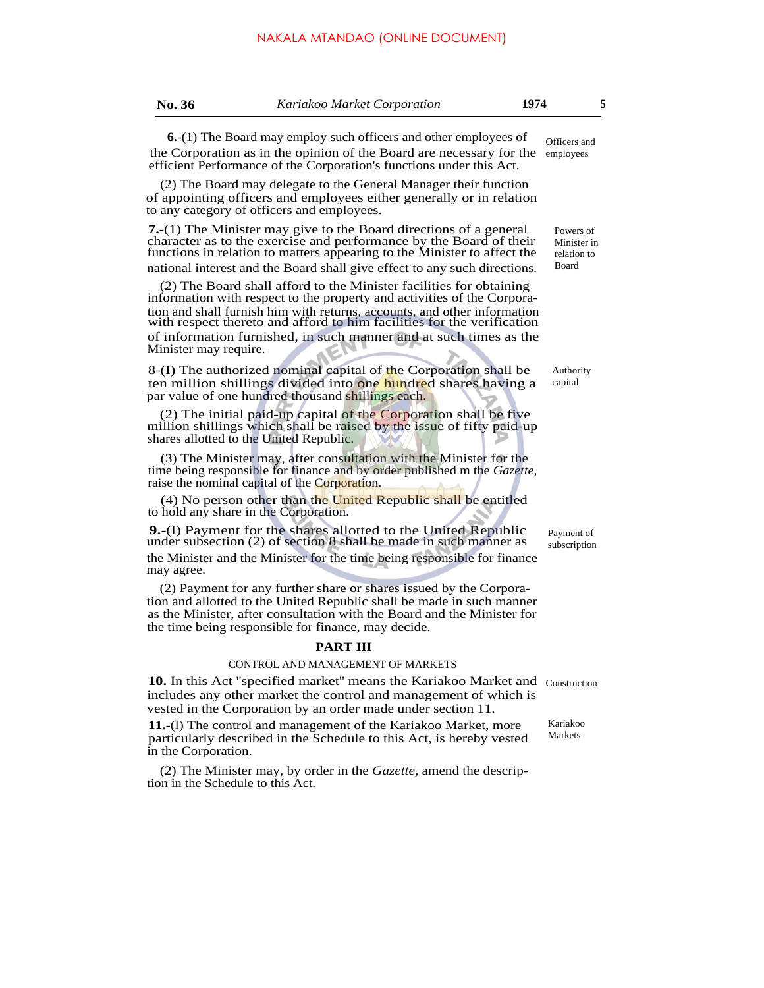| <b>o. 36</b> | K |
|--------------|---|
|              |   |

## **No. 36** *Kariakoo Market Corporation* **1974 5**

**6.**-(1) The Board may employ such officers and other employees of the Corporation as in the opinion of the Board are necessary for the employees Officers and

(2) The Board may delegate to the General Manager their function of appointing officers and employees either generally or in relation to any category of officers and employees.

efficient Performance of the Corporation's functions under this Act.

**7.**-(1) The Minister may give to the Board directions of a general character as to the exercise and performance by the Board of their functions in relation to matters appearing to the Minister to affect the national interest and the Board shall give effect to any such directions.

(2) The Board shall afford to the Minister facilities for obtaining information with respect to the property and activities of the Corporation and shall furnish him with returns, accounts, and other information with respect thereto and afford to him facilities for the verification of information furnished, in such manner and at such times as the Minister may require.

8-(I) The authorized nominal capital of the Corporation shall be ten million shillings divided into one hundred shares having a par value of one hundred thousand shillings each.

(2) The initial paid-up capital of the Corporation shall be five million shillings which shall be raised by the issue of fifty paid-up shares allotted to the United Republic.

(3) The Minister may, after consultation with the Minister for the time being responsible for finance and by order published m the *Gazette,* raise the nominal capital of the Corporation.

(4) No person other than the United Republic shall be entitled to hold any share in the Corporation.

**9.**-(l) Payment for the shares allotted to the United Republic under subsection (2) of section 8 shall be made in such manner as the Minister and the Minister for the time being responsible for finance may agree.

(2) Payment for any further share or shares issued by the Corporation and allotted to the United Republic shall be made in such manner as the Minister, after consultation with the Board and the Minister for the time being responsible for finance, may decide.

#### **PART III**

## CONTROL AND MANAGEMENT OF MARKETS

10. In this Act "specified market" means the Kariakoo Market and Construction includes any other market the control and management of which is vested in the Corporation by an order made under section 11.

**11.**-(l) The control and management of the Kariakoo Market, more particularly described in the Schedule to this Act, is hereby vested in the Corporation.

(2) The Minister may, by order in the *Gazette,* amend the description in the Schedule to this Act.

Powers of Minister in

relation to Board

Authority capital

Payment of subscription

Kariakoo Markets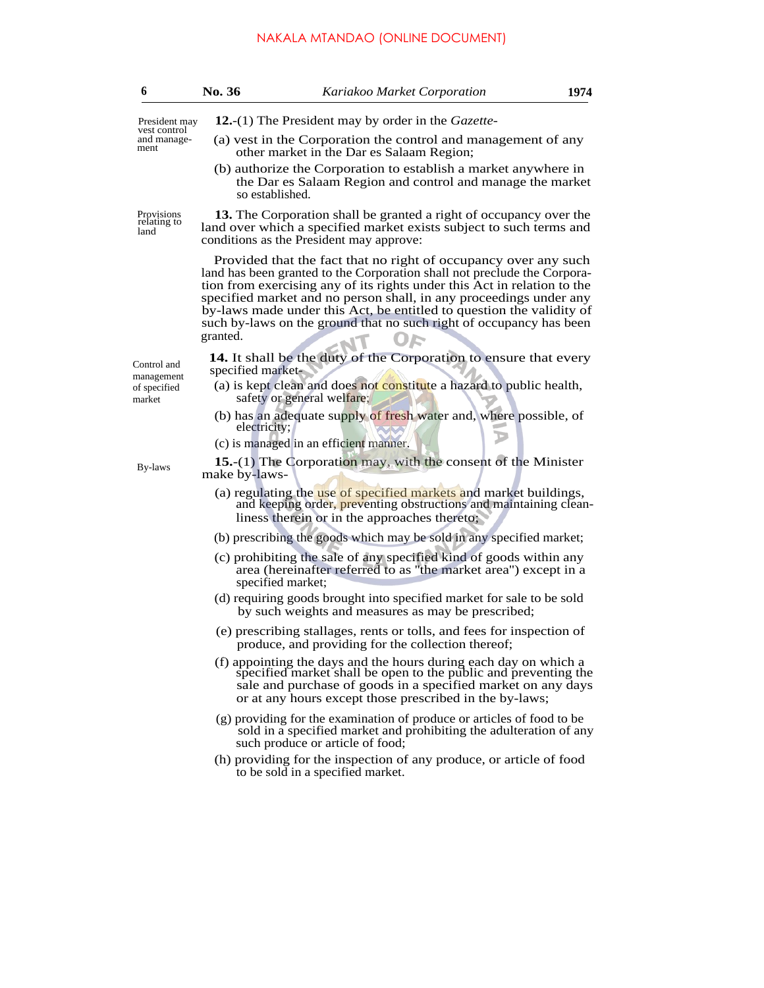# NAKALA MTANDAO (ONLINE DOCUMENT)

| 6                                         | No. 36            | Kariakoo Market Corporation                                                                                                                                                                                                                                                                                                                                                                                                                  | 1974 |
|-------------------------------------------|-------------------|----------------------------------------------------------------------------------------------------------------------------------------------------------------------------------------------------------------------------------------------------------------------------------------------------------------------------------------------------------------------------------------------------------------------------------------------|------|
| President may                             |                   | <b>12.</b> -(1) The President may by order in the <i>Gazette</i> -                                                                                                                                                                                                                                                                                                                                                                           |      |
| vest control<br>and manage-<br>ment       |                   | (a) vest in the Corporation the control and management of any<br>other market in the Dar es Salaam Region;<br>(b) authorize the Corporation to establish a market anywhere in<br>the Dar es Salaam Region and control and manage the market<br>so established.                                                                                                                                                                               |      |
| Provisions<br>relating to<br>land         |                   | 13. The Corporation shall be granted a right of occupancy over the<br>land over which a specified market exists subject to such terms and<br>conditions as the President may approve:                                                                                                                                                                                                                                                        |      |
|                                           | granted.          | Provided that the fact that no right of occupancy over any such<br>land has been granted to the Corporation shall not preclude the Corpora-<br>tion from exercising any of its rights under this Act in relation to the<br>specified market and no person shall, in any proceedings under any<br>by-laws made under this Act, be entitled to question the validity of<br>such by-laws on the ground that no such right of occupancy has been |      |
| Control and<br>management<br>of specified | specified market- | 14. It shall be the duty of the Corporation to ensure that every<br>(a) is kept clean and does not constitute a hazard to public health,                                                                                                                                                                                                                                                                                                     |      |
| market                                    |                   | safety or general welfare;<br>(b) has an adequate supply of fresh water and, where possible, of<br>electricity;                                                                                                                                                                                                                                                                                                                              |      |
|                                           |                   | (c) is managed in an efficient manner.                                                                                                                                                                                                                                                                                                                                                                                                       |      |
| By-laws                                   | make by-laws-     | 15.-(1) The Corporation may, with the consent of the Minister                                                                                                                                                                                                                                                                                                                                                                                |      |
|                                           |                   | (a) regulating the use of specified markets and market buildings,<br>and keeping order, preventing obstructions and maintaining clean-<br>liness therein or in the approaches thereto;                                                                                                                                                                                                                                                       |      |
|                                           |                   | (b) prescribing the goods which may be sold in any specified market;                                                                                                                                                                                                                                                                                                                                                                         |      |
|                                           |                   | (c) prohibiting the sale of any specified kind of goods within any<br>area (hereinafter referred to as "the market area") except in a<br>specified market;                                                                                                                                                                                                                                                                                   |      |
|                                           |                   | (d) requiring goods brought into specified market for sale to be sold<br>by such weights and measures as may be prescribed;                                                                                                                                                                                                                                                                                                                  |      |
|                                           |                   | (e) prescribing stallages, rents or tolls, and fees for inspection of<br>produce, and providing for the collection thereof;                                                                                                                                                                                                                                                                                                                  |      |
|                                           |                   | (f) appointing the days and the hours during each day on which a<br>specified market shall be open to the public and preventing the<br>sale and purchase of goods in a specified market on any days<br>or at any hours except those prescribed in the by-laws;                                                                                                                                                                               |      |
|                                           |                   | (g) providing for the examination of produce or articles of food to be<br>sold in a specified market and prohibiting the adulteration of any<br>such produce or article of food;                                                                                                                                                                                                                                                             |      |
|                                           |                   | (h) providing for the inspection of any produce, or article of food<br>to be sold in a specified market.                                                                                                                                                                                                                                                                                                                                     |      |
|                                           |                   |                                                                                                                                                                                                                                                                                                                                                                                                                                              |      |
|                                           |                   |                                                                                                                                                                                                                                                                                                                                                                                                                                              |      |
|                                           |                   |                                                                                                                                                                                                                                                                                                                                                                                                                                              |      |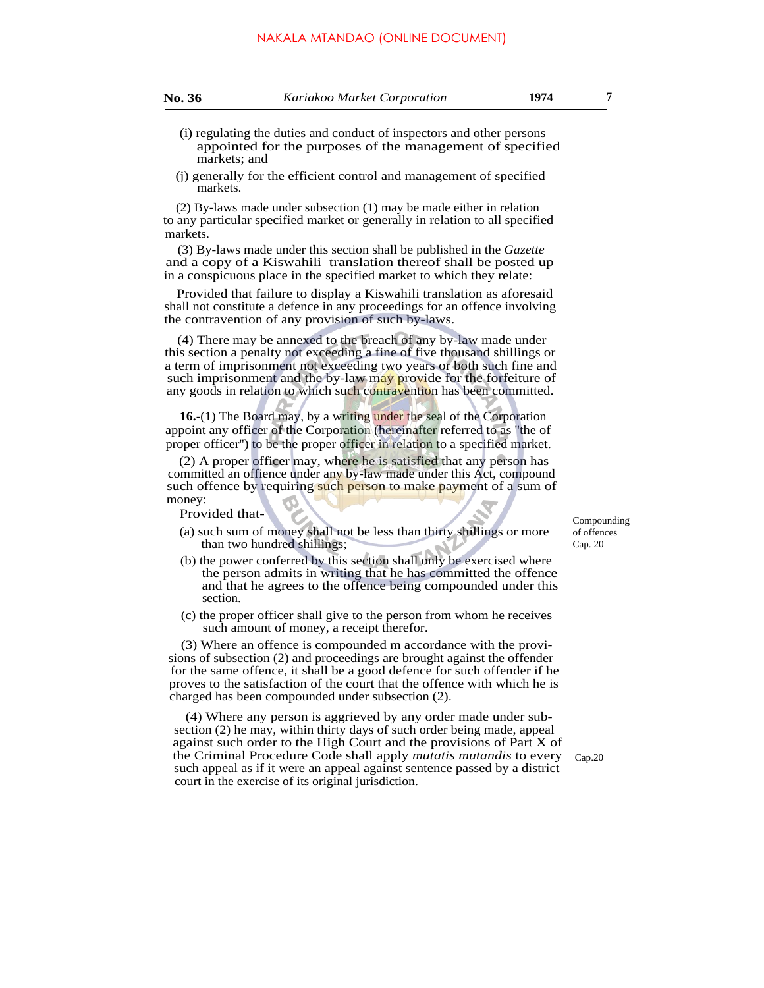| u<br>ι. |  |
|---------|--|
|---------|--|

- (i) regulating the duties and conduct of inspectors and other persons appointed for the purposes of the management of specified markets; and
- (j) generally for the efficient control and management of specified markets.

(2) By-laws made under subsection (1) may be made either in relation to any particular specified market or generally in relation to all specified markets.

(3) By-laws made under this section shall be published in the *Gazette* and a copy of a Kiswahili translation thereof shall be posted up in a conspicuous place in the specified market to which they relate:

Provided that failure to display a Kiswahili translation as aforesaid shall not constitute a defence in any proceedings for an offence involving the contravention of any provision of such by-laws.

(4) There may be annexed to the breach of any by-law made under this section a penalty not exceeding a fine of five thousand shillings or a term of imprisonment not exceeding two years or both such fine and such imprisonment and the by-law may provide for the forfeiture of any goods in relation to which such contravention has been committed.

**16.**-(1) The Board may, by a writing under the seal of the Corporation appoint any officer of the Corporation (hereinafter referred to as ''the of proper officer'') to be the proper officer in relation to a specified market.

(2) A proper officer may, where he is satisfied that any person has committed an offience under any by-law made under this Act, compound such offence by requiring such person to make payment of a sum of money:

Provided that-

- (a) such sum of money shall not be less than thirty shillings or more than two hundred shillings;
- (b) the power conferred by this section shall only be exercised where the person admits in writing that he has committed the offence and that he agrees to the offence being compounded under this section.
- (c) the proper officer shall give to the person from whom he receives such amount of money, a receipt therefor.

(3) Where an offence is compounded m accordance with the provisions of subsection (2) and proceedings are brought against the offender for the same offence, it shall be a good defence for such offender if he proves to the satisfaction of the court that the offence with which he is charged has been compounded under subsection (2).

(4) Where any person is aggrieved by any order made under subsection (2) he may, within thirty days of such order being made, appeal against such order to the High Court and the provisions of Part X of the Criminal Procedure Code shall apply *mutatis mutandis* to every such appeal as if it were an appeal against sentence passed by a district court in the exercise of its original jurisdiction.

Compounding of offences Cap. 20

Cap.20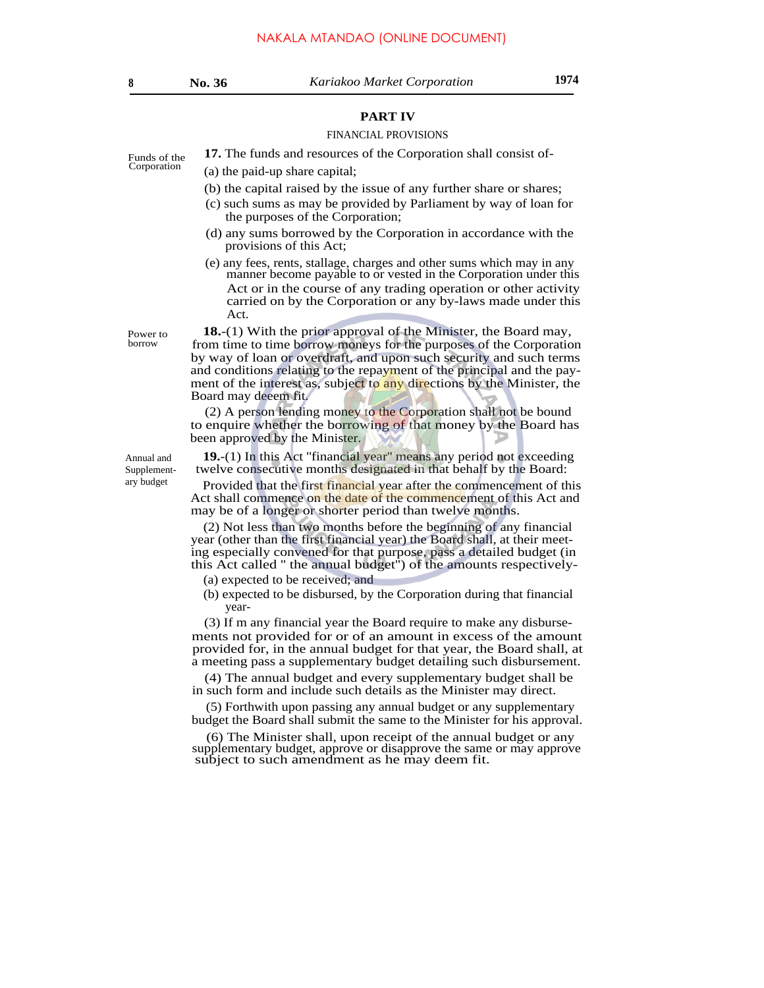# **PART IV**

#### FINANCIAL PROVISIONS

Funds of the **17.** The funds and resources of the Corporation shall consist of-<br>Corporation (a) the paid up share conjtal:

- $(a)$  the paid-up share capital;
	- (b) the capital raised by the issue of any further share or shares;
	- (c) such sums as may be provided by Parliament by way of loan for the purposes of the Corporation;
	- (d) any sums borrowed by the Corporation in accordance with the provisions of this Act;
	- (e) any fees, rents, stallage, charges and other sums which may in any manner become payable to or vested in the Corporation under this Act or in the course of any trading operation or other activity carried on by the Corporation or any by-laws made under this Act.

**18.**-(1) With the prior approval of the Minister, the Board may, from time to time borrow moneys for the purposes of the Corporation by way of loan or overdraft, and upon such security and such terms and conditions relating to the repayment of the principal and the payment of the interest as, subject to any directions by the Minister, the Board may deeem fit.

(2) A person lending money to the Corporation shall not be bound to enquire whether the borrowing of that money by the Board has been approved by the Minister.

**19.**-(1) In this Act ''financial year'' means any period not exceeding twelve consecutive months designated in that behalf by the Board:

Provided that the first financial year after the commencement of this Act shall commence on the date of the commencement of this Act and may be of a longer or shorter period than twelve months.

(2) Not less than two months before the beginning of any financial year (other than the first financial year) the Board shall, at their meeting especially convened for that purpose, pass a detailed budget (in this Act called '' the annual budget'') of the amounts respectively-

- (a) expected to be received; and
- (b) expected to be disbursed, by the Corporation during that financial year-

(3) If m any financial year the Board require to make any disbursements not provided for or of an amount in excess of the amount provided for, in the annual budget for that year, the Board shall, at a meeting pass a supplementary budget detailing such disbursement.

(4) The annual budget and every supplementary budget shall be in such form and include such details as the Minister may direct.

(5) Forthwith upon passing any annual budget or any supplementary budget the Board shall submit the same to the Minister for his approval.

(6) The Minister shall, upon receipt of the annual budget or any supplementary budget, approve or disapprove the same or may approve subject to such amendment as he may deem fit.

Power to borrow

Annual and Supplementary budget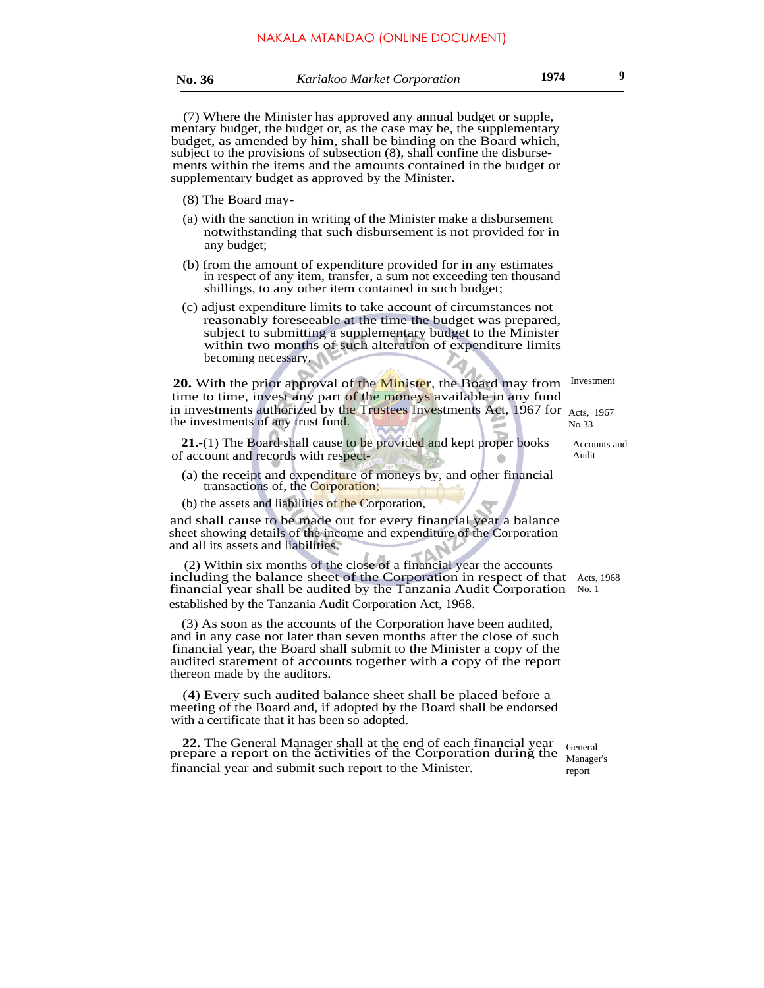(7) Where the Minister has approved any annual budget or supple, mentary budget, the budget or, as the case may be, the supplementary budget, as amended by him, shall be binding on the Board which, subject to the provisions of subsection (8), shall confine the disbursements within the items and the amounts contained in the budget or supplementary budget as approved by the Minister.

- (8) The Board may-
- (a) with the sanction in writing of the Minister make a disbursement notwithstanding that such disbursement is not provided for in any budget;
- (b) from the amount of expenditure provided for in any estimates in respect of any item, transfer, a sum not exceeding ten thousand shillings, to any other item contained in such budget;
- (c) adjust expenditure limits to take account of circumstances not reasonably foreseeable at the time the budget was prepared, subject to submitting a supplementary budget to the Minister within two months of such alteration of expenditure limits becoming necessary.

20. With the prior approval of the Minister, the Board may from Investment time to time, invest any part of the moneys available in any fund in investments authorized by the Trustees Investments Act, 1967 for Acts, 1967 the investments of any trust fund.

**21.**-(1) The Board shall cause to be provided and kept proper books of account and records with respect-

- (a) the receipt and expenditure of moneys by, and other financial transactions of, the Corporation;
- (b) the assets and liabilities of the Corporation,

and shall cause to be made out for every financial year a balance sheet showing details of the income and expenditure of the Corporation and all its assets and liabilities.

(2) Within six months of the close of a financial year the accounts including the balance sheet of the Corporation in respect of that Acts, 1968 financial year shall be audited by the Tanzania Audit Corporation No. 1 established by the Tanzania Audit Corporation Act, 1968.

(3) As soon as the accounts of the Corporation have been audited, and in any case not later than seven months after the close of such financial year, the Board shall submit to the Minister a copy of the audited statement of accounts together with a copy of the report thereon made by the auditors.

(4) Every such audited balance sheet shall be placed before a meeting of the Board and, if adopted by the Board shall be endorsed with a certificate that it has been so adopted.

**22.** The General Manager shall at the end of each financial year prepare a report on the activities of the Corporation during the financial year and submit such report to the Minister.

No.33

Accounts and Audit

General Manager's report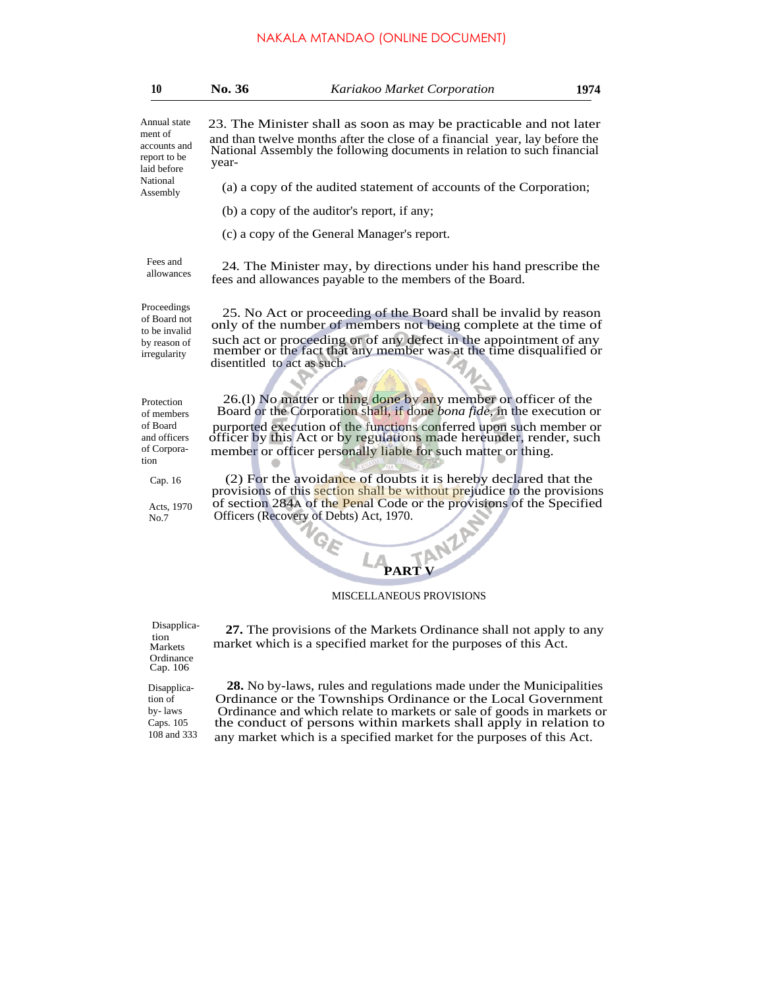| 10                                                                           | No. 36                      | Kariakoo Market Corporation                                                                                                                                                                                                                                                                                                                           | 1974 |
|------------------------------------------------------------------------------|-----------------------------|-------------------------------------------------------------------------------------------------------------------------------------------------------------------------------------------------------------------------------------------------------------------------------------------------------------------------------------------------------|------|
| Annual state<br>ment of<br>accounts and<br>report to be<br>laid before       | year-                       | 23. The Minister shall as soon as may be practicable and not later<br>and than twelve months after the close of a financial year, lay before the<br>National Assembly the following documents in relation to such financial                                                                                                                           |      |
| National<br>Assembly                                                         |                             | (a) a copy of the audited statement of accounts of the Corporation;                                                                                                                                                                                                                                                                                   |      |
|                                                                              |                             | (b) a copy of the auditor's report, if any;                                                                                                                                                                                                                                                                                                           |      |
|                                                                              |                             | (c) a copy of the General Manager's report.                                                                                                                                                                                                                                                                                                           |      |
| Fees and<br>allowances                                                       |                             | 24. The Minister may, by directions under his hand prescribe the<br>fees and allowances payable to the members of the Board.                                                                                                                                                                                                                          |      |
| Proceedings<br>of Board not<br>to be invalid<br>by reason of<br>irregularity | disentitled to act as such. | 25. No Act or proceeding of the Board shall be invalid by reason<br>only of the number of members not being complete at the time of<br>such act or proceeding or of any defect in the appointment of any<br>member or the fact that any member was at the time disqualified or                                                                        |      |
| Protection<br>of members<br>of Board<br>and officers<br>of Corpora-<br>tion  |                             | 26.(1) No matter or thing done by any member or officer of the<br>Board or the Corporation shall, if done bona fide, in the execution or<br>purported execution of the functions conferred upon such member or<br>officer by this Act or by regulations made hereunder, render, such<br>member or officer personally liable for such matter or thing. |      |
| Cap. 16                                                                      |                             | (2) For the avoidance of doubts it is hereby declared that the<br>provisions of this section shall be without prejudice to the provisions<br>of section 284A of the Penal Code or the provisions of the Specified                                                                                                                                     |      |
| Acts, 1970<br>No.7                                                           |                             | Officers (Recovery of Debts) Act, 1970.<br><b>TANZAY</b><br>$\gamma_{\stackrel{\scriptstyle G_E}{}}$<br><b>PARTV</b>                                                                                                                                                                                                                                  |      |

MISCELLANEOUS PROVISIONS

**27.** The provisions of the Markets Ordinance shall not apply to any

market which is a specified market for the purposes of this Act.

Disapplication Markets Ordinance Cap. 106

Disapplication of by- laws Caps. 105 108 and 333

**28.** No by-laws, rules and regulations made under the Municipalities Ordinance or the Townships Ordinance or the Local Government Ordinance and which relate to markets or sale of goods in markets or the conduct of persons within markets shall apply in relation to any market which is a specified market for the purposes of this Act.